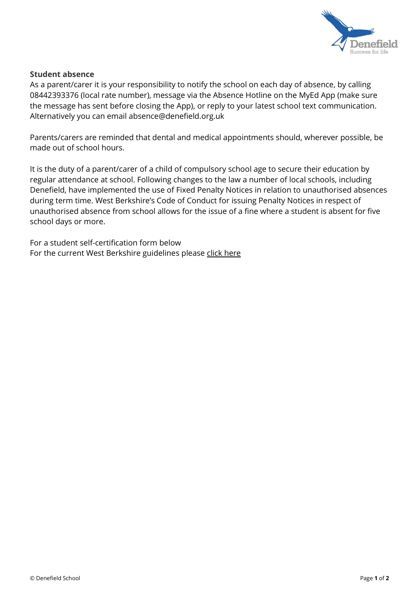

### **Student absence**

As a parent/carer it is your responsibility to notify the school on each day of absence, by calling 08442393376 (local rate number), message via the Absence Hotline on the MyEd App (make sure the message has sent before closing the App), or reply to your latest school text communication. Alternatively you can email absence@denefield.org.uk

Parents/carers are reminded that dental and medical appointments should, wherever possible, be made out of school hours.

It is the duty of a parent/carer of a child of compulsory school age to secure their education by regular attendance at school. Following changes to the law a number of local schools, including Denefield, have implemented the use of Fixed Penalty Notices in relation to unauthorised absences during term time. West Berkshire's Code of Conduct for issuing Penalty Notices in respect of unauthorised absence from school allows for the issue of a fine where a student is absent for five school days or more.

For a student self-certification form below For the current West Berkshire guidelines please [click here](https://www.gov.uk/school-attendance-absence/legal-action-to-enforce-school-attendance)